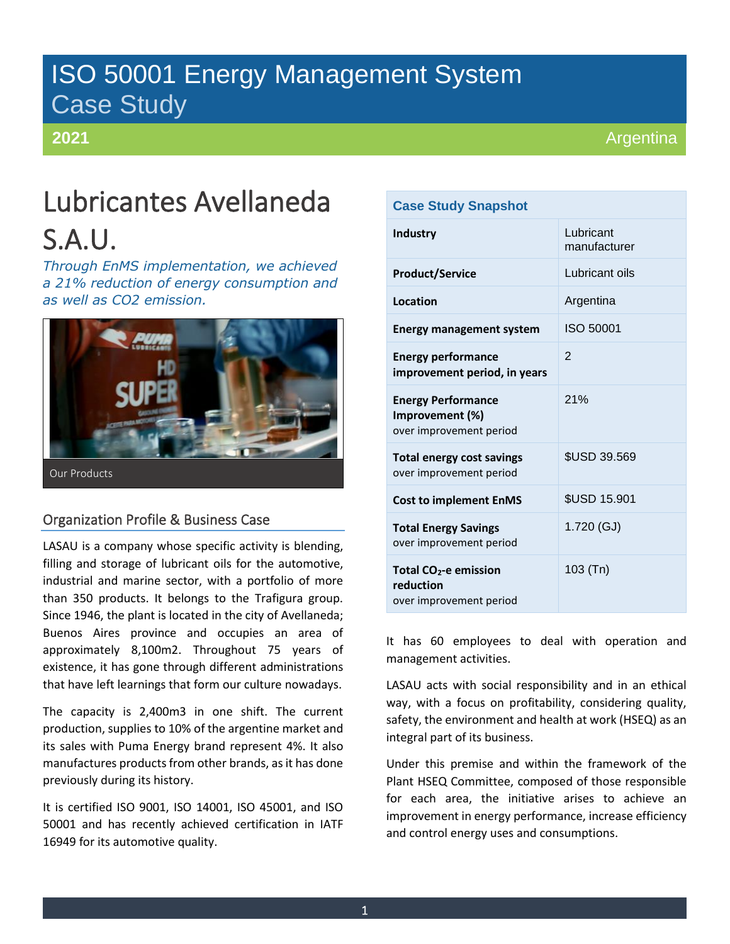# ISO 50001 Energy Management System Case Study

# **2021**

# Lubricantes Avellaneda S.A.U.

*Through EnMS implementation, we achieved a 21% reduction of energy consumption and as well as CO2 emission.*



# Organization Profile & Business Case

LASAU is a company whose specific activity is blending, filling and storage of lubricant oils for the automotive, industrial and marine sector, with a portfolio of more than 350 products. It belongs to the Trafigura group. Since 1946, the plant is located in the city of Avellaneda; Buenos Aires province and occupies an area of approximately 8,100m2. Throughout 75 years of existence, it has gone through different administrations that have left learnings that form our culture nowadays.

The capacity is 2,400m3 in one shift. The current production, supplies to 10% of the argentine market and its sales with Puma Energy brand represent 4%. It also manufactures products from other brands, as it has done previously during its history.

It is certified ISO 9001, ISO 14001, ISO 45001, and ISO 50001 and has recently achieved certification in IATF 16949 for its automotive quality.

## **Case Study Snapshot**

| Industry                                                                  | Lubricant<br>manufacturer |
|---------------------------------------------------------------------------|---------------------------|
| <b>Product/Service</b>                                                    | Lubricant oils            |
| Location                                                                  | Argentina                 |
| <b>Energy management system</b>                                           | ISO 50001                 |
| <b>Energy performance</b><br>improvement period, in years                 | $\overline{2}$            |
| <b>Energy Performance</b><br>Improvement (%)<br>over improvement period   | 21%                       |
| <b>Total energy cost savings</b><br>over improvement period               | <b>\$USD 39.569</b>       |
| <b>Cost to implement EnMS</b>                                             | <b>\$USD 15.901</b>       |
| <b>Total Energy Savings</b><br>over improvement period                    | 1.720 (GJ)                |
| Total CO <sub>2</sub> -e emission<br>reduction<br>over improvement period | 103 (Tn)                  |

It has 60 employees to deal with operation and management activities.

LASAU acts with social responsibility and in an ethical way, with a focus on profitability, considering quality, safety, the environment and health at work (HSEQ) as an integral part of its business.

Under this premise and within the framework of the Plant HSEQ Committee, composed of those responsible for each area, the initiative arises to achieve an improvement in energy performance, increase efficiency and control energy uses and consumptions.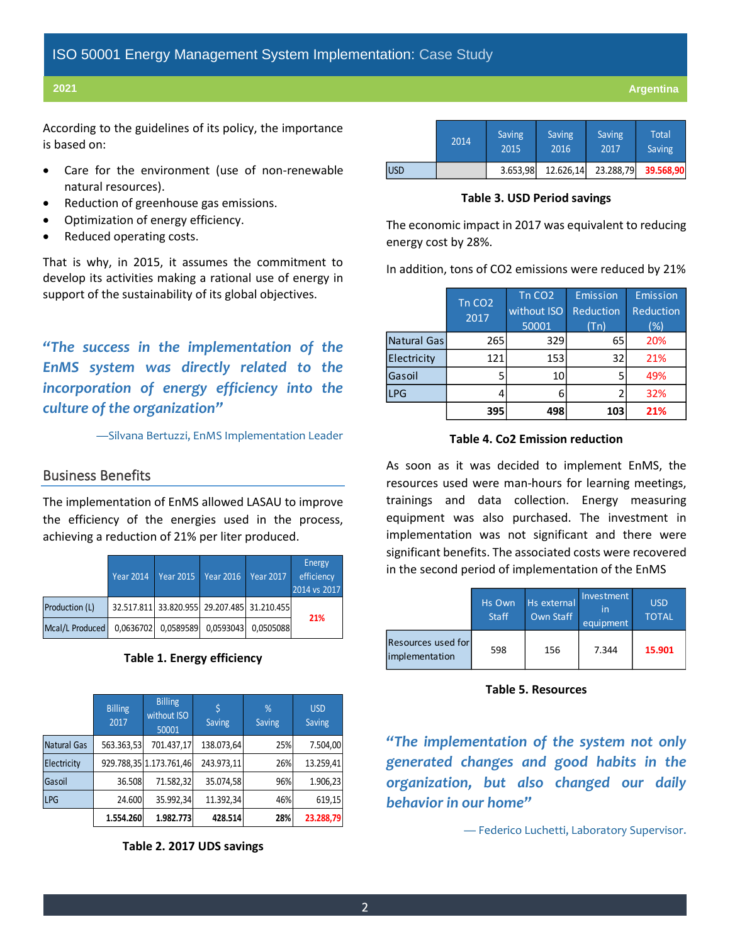According to the guidelines of its policy, the importance is based on:

- Care for the environment (use of non-renewable natural resources).
- Reduction of greenhouse gas emissions.
- Optimization of energy efficiency.
- Reduced operating costs.

That is why, in 2015, it assumes the commitment to develop its activities making a rational use of energy in support of the sustainability of its global objectives.

*"The success in the implementation of the EnMS system was directly related to the incorporation of energy efficiency into the culture of the organization"*

—Silvana Bertuzzi, EnMS Implementation Leader

### Business Benefits

The implementation of EnMS allowed LASAU to improve the efficiency of the energies used in the process, achieving a reduction of 21% per liter produced.

|                 | <b>Year 2014</b> | <b>Year 2015</b>                            | Year 2016 | <b>Year 2017</b> | <b>Energy</b><br>efficiency<br>2014 vs 2017 |
|-----------------|------------------|---------------------------------------------|-----------|------------------|---------------------------------------------|
| Production (L)  |                  | 32.517.811 33.820.955 29.207.485 31.210.455 |           |                  | 21%                                         |
| Mcal/L Produced |                  | 0,0636702 0,0589589 0,0593043 0,0505088     |           |                  |                                             |



|             | <b>Billing</b><br>2017 | <b>Billing</b><br>without ISO<br>50001 | <b>Saving</b> | %<br><b>Saving</b> | <b>USD</b><br>Saving |
|-------------|------------------------|----------------------------------------|---------------|--------------------|----------------------|
| Natural Gas | 563.363,53             | 701.437,17                             | 138.073,64    | 25%                | 7.504,00             |
| Electricity |                        | 929.788,35 1.173.761,46                | 243.973,11    | 26%                | 13.259,41            |
| Gasoil      | 36.508                 | 71.582,32                              | 35.074,58     | 96%                | 1.906,23             |
| <b>LPG</b>  | 24.600                 | 35.992,34                              | 11.392,34     | 46%                | 619,15               |
|             | 1.554.260              | 1.982.773                              | 428.514       | 28%                | 23.288,79            |

**Table 2. 2017 UDS savings**

|     | 2014 | Saving<br>2015 | Saving<br>2016 | Saving<br>2017 | Total<br>Saving |
|-----|------|----------------|----------------|----------------|-----------------|
| usd |      | 3.653,98       | 12.626,14      | 23.288,79      | 39.568,90       |

#### **Table 3. USD Period savings**

The economic impact in 2017 was equivalent to reducing energy cost by 28%.

|  |  | In addition, tons of CO2 emissions were reduced by 21% |  |  |
|--|--|--------------------------------------------------------|--|--|
|--|--|--------------------------------------------------------|--|--|

|             | Tn CO <sub>2</sub><br>2017 | Tn CO <sub>2</sub><br>without ISO<br>50001 | <b>Emission</b><br><b>Reduction</b><br>(Tn) | Emission<br>Reduction<br>(% ) |
|-------------|----------------------------|--------------------------------------------|---------------------------------------------|-------------------------------|
| Natural Gas | 265                        | 329                                        | 65                                          | 20%                           |
| Electricity | 121                        | 153                                        | 32                                          | 21%                           |
| Gasoil      | 5                          | 10                                         | 5                                           | 49%                           |
| <b>LPG</b>  |                            | 6                                          | 2                                           | 32%                           |
|             | 395                        | 498                                        | 103                                         | 21%                           |

### **Table 4. Co2 Emission reduction**

As soon as it was decided to implement EnMS, the resources used were man-hours for learning meetings, trainings and data collection. Energy measuring equipment was also purchased. The investment in implementation was not significant and there were significant benefits. The associated costs were recovered in the second period of implementation of the EnMS

|                                      | Hs Own<br><b>Staff</b> | <b>Hs external</b><br>Own Staff | Investment<br>in<br>equipment | <b>USD</b><br><b>TOTAL</b> |
|--------------------------------------|------------------------|---------------------------------|-------------------------------|----------------------------|
| Resources used for<br>implementation | 598                    | 156                             | 7.344                         | 15.901                     |

#### **Table 5. Resources**

*"The implementation of the system not only generated changes and good habits in the organization, but also changed our daily behavior in our home"* 

— Federico Luchetti, Laboratory Supervisor.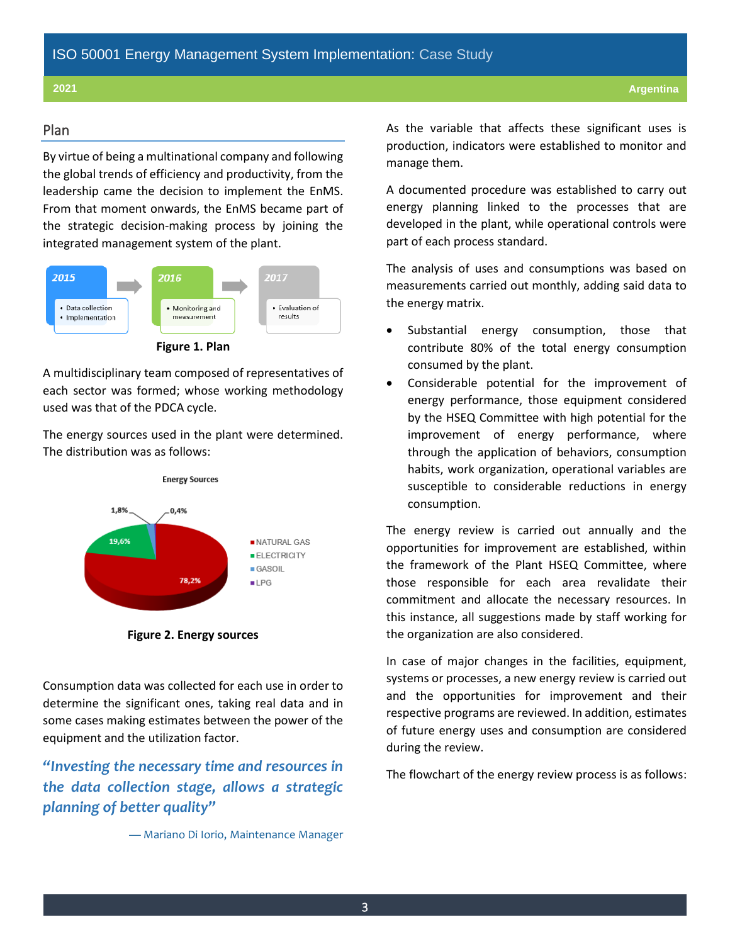## Plan

By virtue of being a multinational company and following the global trends of efficiency and productivity, from the leadership came the decision to implement the EnMS. From that moment onwards, the EnMS became part of the strategic decision-making process by joining the integrated management system of the plant.



**Figure 1. Plan**

A multidisciplinary team composed of representatives of each sector was formed; whose working methodology used was that of the PDCA cycle.

The energy sources used in the plant were determined. The distribution was as follows:



**Figure 2. Energy sources**

Consumption data was collected for each use in order to determine the significant ones, taking real data and in some cases making estimates between the power of the equipment and the utilization factor.

*"Investing the necessary time and resources in the data collection stage, allows a strategic planning of better quality"*

— Mariano Di Iorio, Maintenance Manager

As the variable that affects these significant uses is production, indicators were established to monitor and manage them.

A documented procedure was established to carry out energy planning linked to the processes that are developed in the plant, while operational controls were part of each process standard.

The analysis of uses and consumptions was based on measurements carried out monthly, adding said data to the energy matrix.

- Substantial energy consumption, those that contribute 80% of the total energy consumption consumed by the plant.
- Considerable potential for the improvement of energy performance, those equipment considered by the HSEQ Committee with high potential for the improvement of energy performance, where through the application of behaviors, consumption habits, work organization, operational variables are susceptible to considerable reductions in energy consumption.

The energy review is carried out annually and the opportunities for improvement are established, within the framework of the Plant HSEQ Committee, where those responsible for each area revalidate their commitment and allocate the necessary resources. In this instance, all suggestions made by staff working for the organization are also considered.

In case of major changes in the facilities, equipment, systems or processes, a new energy review is carried out and the opportunities for improvement and their respective programs are reviewed. In addition, estimates of future energy uses and consumption are considered during the review.

The flowchart of the energy review process is as follows: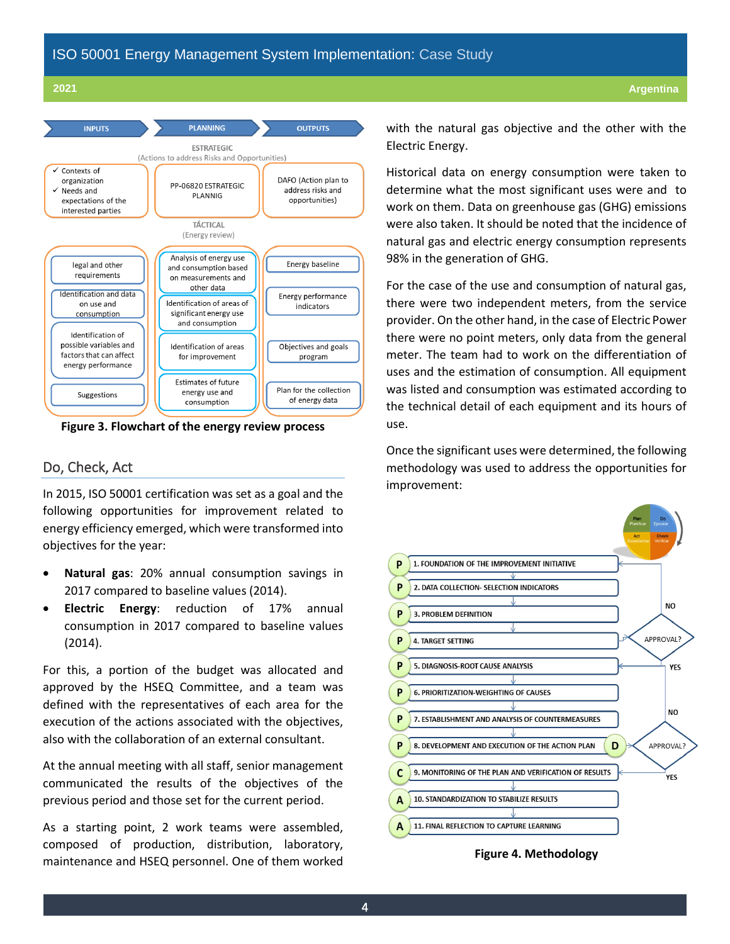

**Figure 3. Flowchart of the energy review process**

# Do, Check, Act

In 2015, ISO 50001 certification was set as a goal and the following opportunities for improvement related to energy efficiency emerged, which were transformed into objectives for the year:

- **Natural gas**: 20% annual consumption savings in 2017 compared to baseline values (2014).
- **Electric Energy**: reduction of 17% annual consumption in 2017 compared to baseline values (2014).

For this, a portion of the budget was allocated and approved by the HSEQ Committee, and a team was defined with the representatives of each area for the execution of the actions associated with the objectives, also with the collaboration of an external consultant.

At the annual meeting with all staff, senior management communicated the results of the objectives of the previous period and those set for the current period.

As a starting point, 2 work teams were assembled, composed of production, distribution, laboratory, maintenance and HSEQ personnel. One of them worked with the natural gas objective and the other with the Electric Energy.

Historical data on energy consumption were taken to determine what the most significant uses were and to work on them. Data on greenhouse gas (GHG) emissions were also taken. It should be noted that the incidence of natural gas and electric energy consumption represents 98% in the generation of GHG.

For the case of the use and consumption of natural gas, there were two independent meters, from the service provider. On the other hand, in the case of Electric Power there were no point meters, only data from the general meter. The team had to work on the differentiation of uses and the estimation of consumption. All equipment was listed and consumption was estimated according to the technical detail of each equipment and its hours of use.

Once the significant uses were determined, the following methodology was used to address the opportunities for improvement:



**Figure 4. Methodology**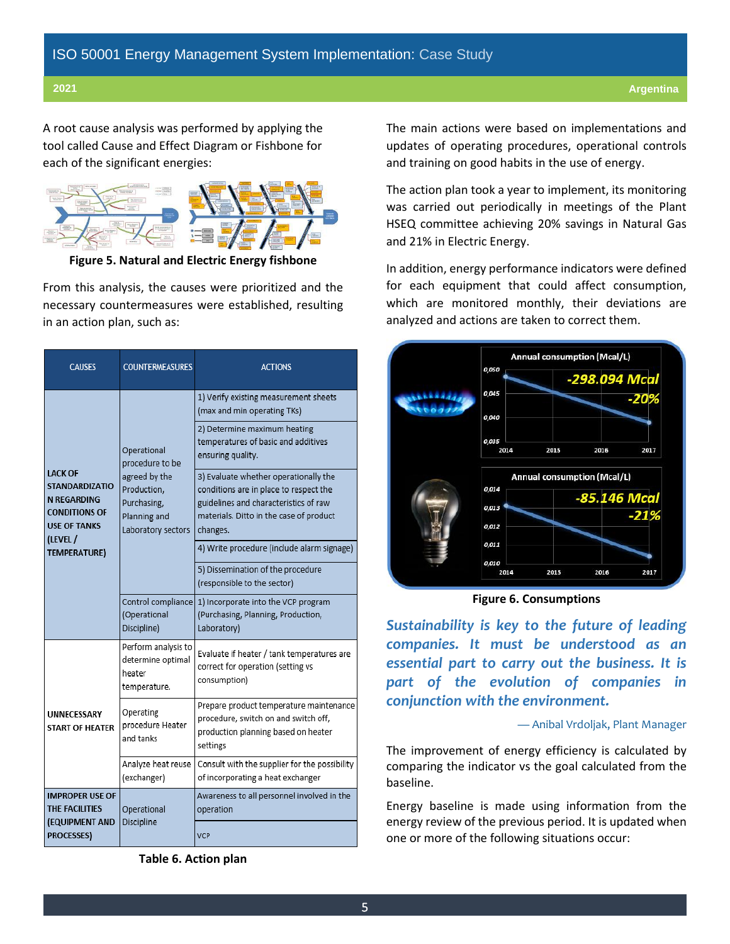A root cause analysis was performed by applying the tool called Cause and Effect Diagram or Fishbone for each of the significant energies:



**Figure 5. Natural and Electric Energy fishbone**

From this analysis, the causes were prioritized and the necessary countermeasures were established, resulting in an action plan, such as:

| <b>CAUSES</b>                                                                                                                              | <b>COUNTERMEASURES</b>                                             | <b>ACTIONS</b>                                                                                                                                                                  |
|--------------------------------------------------------------------------------------------------------------------------------------------|--------------------------------------------------------------------|---------------------------------------------------------------------------------------------------------------------------------------------------------------------------------|
| <b>LACK OF</b><br><b>STANDARDIZATIO</b><br>Production,<br><b>N REGARDING</b><br>Purchasing,<br><b>CONDITIONS OF</b><br><b>USE OF TANKS</b> | Operational<br>procedure to be                                     | 1) Verify existing measurement sheets<br>(max and min operating TKs)                                                                                                            |
|                                                                                                                                            |                                                                    | 2) Determine maximum heating<br>temperatures of basic and additives<br>ensuring quality.                                                                                        |
|                                                                                                                                            | agreed by the<br>Planning and<br>Laboratory sectors                | 3) Evaluate whether operationally the<br>conditions are in place to respect the<br>guidelines and characteristics of raw<br>materials. Ditto in the case of product<br>changes. |
| (LEVEL /<br><b>TEMPERATURE)</b>                                                                                                            |                                                                    | 4) Write procedure (include alarm signage)                                                                                                                                      |
|                                                                                                                                            |                                                                    | 5) Dissemination of the procedure<br>(responsible to the sector)                                                                                                                |
|                                                                                                                                            | Control compliance<br>(Operational<br>Discipline)                  | 1) Incorporate into the VCP program<br>(Purchasing, Planning, Production,<br>Laboratory)                                                                                        |
|                                                                                                                                            | Perform analysis to<br>determine optimal<br>heater<br>temperature. | Evaluate if heater / tank temperatures are<br>correct for operation (setting vs<br>consumption)                                                                                 |
| <b>UNNECESSARY</b><br><b>START OF HEATER</b>                                                                                               | Operating<br>procedure Heater<br>and tanks                         | Prepare product temperature maintenance<br>procedure, switch on and switch off,<br>production planning based on heater<br>settings                                              |
|                                                                                                                                            | Analyze heat reuse<br>(exchanger)                                  | Consult with the supplier for the possibility<br>of incorporating a heat exchanger                                                                                              |
| <b>IMPROPER USE OF</b><br>THE FACILITIES                                                                                                   | Operational                                                        | Awareness to all personnel involved in the<br>operation                                                                                                                         |
| <b>(EQUIPMENT AND</b><br><b>PROCESSES)</b>                                                                                                 | Discipline                                                         | <b>VCP</b>                                                                                                                                                                      |

**Table 6. Action plan**

The main actions were based on implementations and updates of operating procedures, operational controls and training on good habits in the use of energy.

The action plan took a year to implement, its monitoring was carried out periodically in meetings of the Plant HSEQ committee achieving 20% savings in Natural Gas and 21% in Electric Energy.

In addition, energy performance indicators were defined for each equipment that could affect consumption, which are monitored monthly, their deviations are analyzed and actions are taken to correct them.



**Figure 6. Consumptions**

*Sustainability is key to the future of leading companies. It must be understood as an essential part to carry out the business. It is part of the evolution of companies in conjunction with the environment.*

#### — Anibal Vrdoljak, Plant Manager

The improvement of energy efficiency is calculated by comparing the indicator vs the goal calculated from the baseline.

Energy baseline is made using information from the energy review of the previous period. It is updated when one or more of the following situations occur: